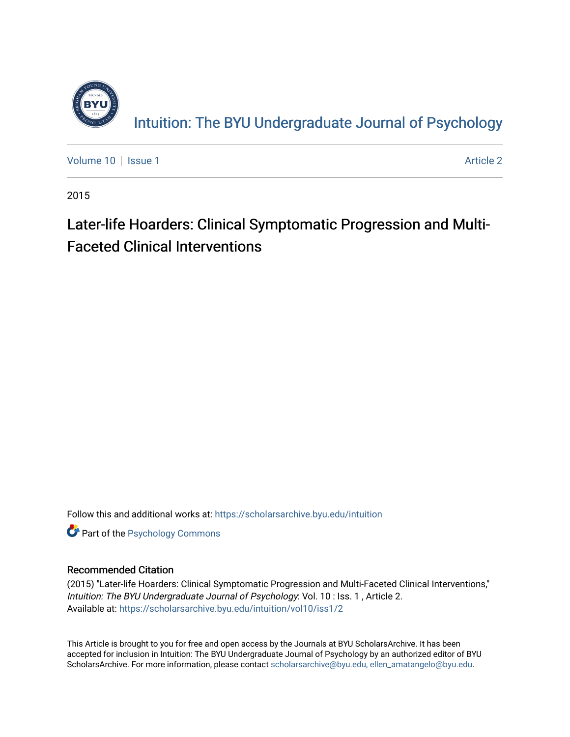

Intuition: The BY[U Undergraduate Journal of Psy](https://scholarsarchive.byu.edu/intuition)chology

[Volume 10](https://scholarsarchive.byu.edu/intuition/vol10) | [Issue 1](https://scholarsarchive.byu.edu/intuition/vol10/iss1) Article 2

2015

# Later-life Hoarders: Clinical Symptomatic Progression and Multi-Faceted Clinical Interventions

Follow this and additional works at: [https://scholarsarchive.byu.edu/intuition](https://scholarsarchive.byu.edu/intuition?utm_source=scholarsarchive.byu.edu%2Fintuition%2Fvol10%2Fiss1%2F2&utm_medium=PDF&utm_campaign=PDFCoverPages) 

**Part of the Psychology Commons** 

#### Recommended Citation

(2015) "Later-life Hoarders: Clinical Symptomatic Progression and Multi-Faceted Clinical Interventions," Intuition: The BYU Undergraduate Journal of Psychology: Vol. 10 : Iss. 1 , Article 2. Available at: [https://scholarsarchive.byu.edu/intuition/vol10/iss1/2](https://scholarsarchive.byu.edu/intuition/vol10/iss1/2?utm_source=scholarsarchive.byu.edu%2Fintuition%2Fvol10%2Fiss1%2F2&utm_medium=PDF&utm_campaign=PDFCoverPages) 

This Article is brought to you for free and open access by the Journals at BYU ScholarsArchive. It has been accepted for inclusion in Intuition: The BYU Undergraduate Journal of Psychology by an authorized editor of BYU ScholarsArchive. For more information, please contact [scholarsarchive@byu.edu, ellen\\_amatangelo@byu.edu.](mailto:scholarsarchive@byu.edu,%20ellen_amatangelo@byu.edu)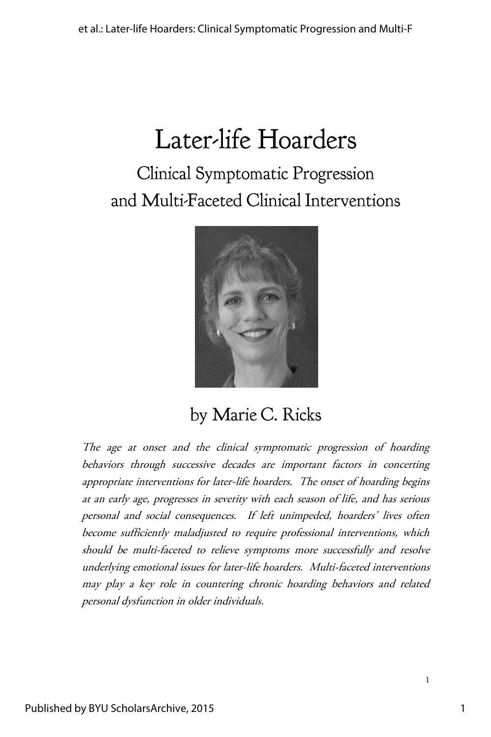# Clinical Symptomatic Progression and Multi-Faceted Clinical Interventions



## by Marie C. Ricks

The age at onset and the clinical symptomatic progression of hoarding behaviors through successive decades are important factors in concerting appropriate interventions for later-life hoarders. The onset of hoarding begins at an early age, progresses in severity with each season of life, and has serious personal and social consequences. If left unimpeded, hoarders' lives often become sufficiently maladjusted to require professional interventions, which should be multi-faceted to relieve symptoms more successfully and resolve underlying emotional issues for later-life hoarders. Multi-faceted interventions may play a key role in countering chronic hoarding behaviors and related personal dysfunction in older individuals.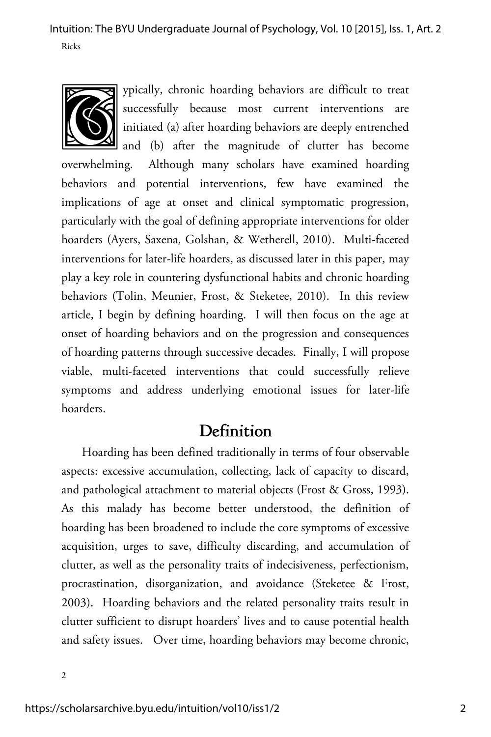

ypically, chronic hoarding behaviors are difficult to treat successfully because most current interventions are initiated (a) after hoarding behaviors are deeply entrenched

and (b) after the magnitude of clutter has become overwhelming. Although many scholars have examined hoarding behaviors and potential interventions, few have examined the implications of age at onset and clinical symptomatic progression, particularly with the goal of defining appropriate interventions for older hoarders (Ayers, Saxena, Golshan, & Wetherell, 2010). Multi-faceted interventions for later-life hoarders, as discussed later in this paper, may play a key role in countering dysfunctional habits and chronic hoarding behaviors (Tolin, Meunier, Frost, & Steketee, 2010). In this review article, I begin by defining hoarding. I will then focus on the age at onset of hoarding behaviors and on the progression and consequences of hoarding patterns through successive decades. Finally, I will propose viable, multi-faceted interventions that could successfully relieve symptoms and address underlying emotional issues for later-life hoarders.

#### Definition

Hoarding has been defined traditionally in terms of four observable aspects: excessive accumulation, collecting, lack of capacity to discard, and pathological attachment to material objects (Frost & Gross, 1993). As this malady has become better understood, the definition of hoarding has been broadened to include the core symptoms of excessive acquisition, urges to save, difficulty discarding, and accumulation of clutter, as well as the personality traits of indecisiveness, perfectionism, procrastination, disorganization, and avoidance (Steketee & Frost, 2003). Hoarding behaviors and the related personality traits result in clutter sufficient to disrupt hoarders' lives and to cause potential health and safety issues. Over time, hoarding behaviors may become chronic,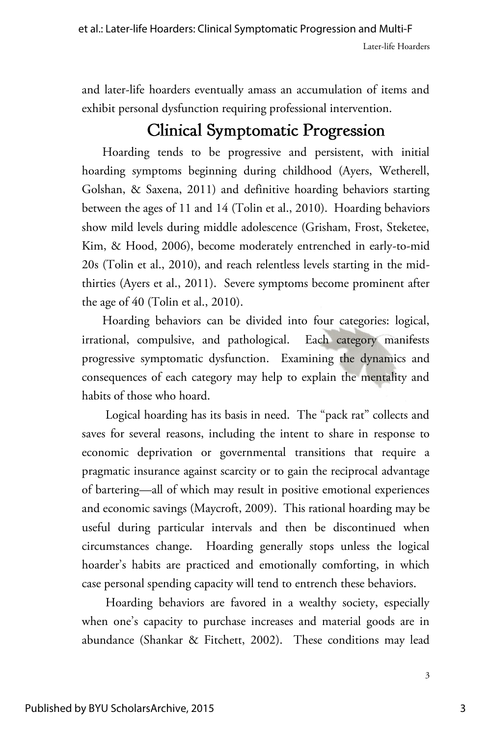and later-life hoarders eventually amass an accumulation of items and exhibit personal dysfunction requiring professional intervention.

## **Clinical Symptomatic Progression**

Hoarding tends to be progressive and persistent, with initial hoarding symptoms beginning during childhood (Ayers, Wetherell, Golshan, & Saxena, 2011) and definitive hoarding behaviors starting between the ages of 11 and 14 (Tolin et al., 2010). Hoarding behaviors show mild levels during middle adolescence (Grisham, Frost, Steketee, Kim, & Hood, 2006), become moderately entrenched in early-to-mid 20s (Tolin et al., 2010), and reach relentless levels starting in the midthirties (Ayers et al., 2011). Severe symptoms become prominent after the age of 40 (Tolin et al., 2010).

Hoarding behaviors can be divided into four categories: logical, irrational, compulsive, and pathological. Each category manifests progressive symptomatic dysfunction. Examining the dynamics and consequences of each category may help to explain the mentality and habits of those who hoard.

Logical hoarding has its basis in need. The "pack rat" collects and saves for several reasons, including the intent to share in response to economic deprivation or governmental transitions that require a pragmatic insurance against scarcity or to gain the reciprocal advantage of bartering—all of which may result in positive emotional experiences and economic savings (Maycroft, 2009). This rational hoarding may be useful during particular intervals and then be discontinued when circumstances change. Hoarding generally stops unless the logical hoarder's habits are practiced and emotionally comforting, in which case personal spending capacity will tend to entrench these behaviors.

Hoarding behaviors are favored in a wealthy society, especially when one's capacity to purchase increases and material goods are in abundance (Shankar & Fitchett, 2002). These conditions may lead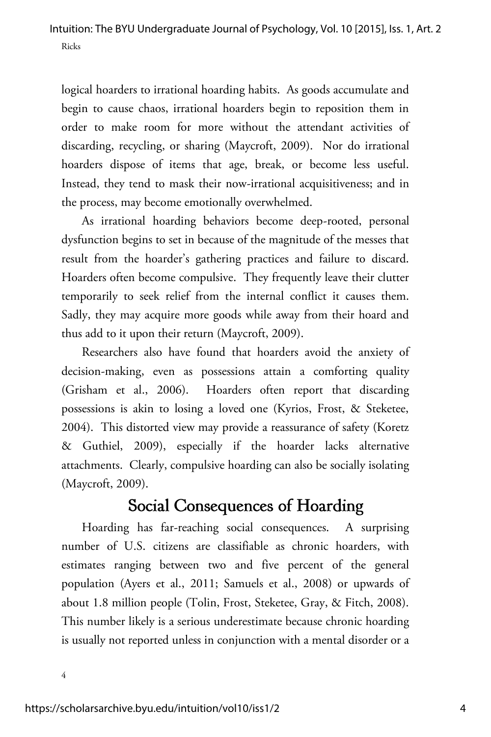logical hoarders to irrational hoarding habits. As goods accumulate and begin to cause chaos, irrational hoarders begin to reposition them in order to make room for more without the attendant activities of discarding, recycling, or sharing (Maycroft, 2009). Nor do irrational hoarders dispose of items that age, break, or become less useful. Instead, they tend to mask their now-irrational acquisitiveness; and in the process, may become emotionally overwhelmed.

As irrational hoarding behaviors become deep-rooted, personal dysfunction begins to set in because of the magnitude of the messes that result from the hoarder's gathering practices and failure to discard. Hoarders often become compulsive. They frequently leave their clutter temporarily to seek relief from the internal conflict it causes them. Sadly, they may acquire more goods while away from their hoard and thus add to it upon their return (Maycroft, 2009).

Researchers also have found that hoarders avoid the anxiety of decision-making, even as possessions attain a comforting quality (Grisham et al., 2006). Hoarders often report that discarding possessions is akin to losing a loved one (Kyrios, Frost, & Steketee, 2004). This distorted view may provide a reassurance of safety (Koretz & Guthiel, 2009), especially if the hoarder lacks alternative attachments. Clearly, compulsive hoarding can also be socially isolating (Maycroft, 2009).

### Social Consequences of Hoarding

Hoarding has far-reaching social consequences. A surprising number of U.S. citizens are classifiable as chronic hoarders, with estimates ranging between two and five percent of the general population (Ayers et al., 2011; Samuels et al., 2008) or upwards of about 1.8 million people (Tolin, Frost, Steketee, Gray, & Fitch, 2008). This number likely is a serious underestimate because chronic hoarding is usually not reported unless in conjunction with a mental disorder or a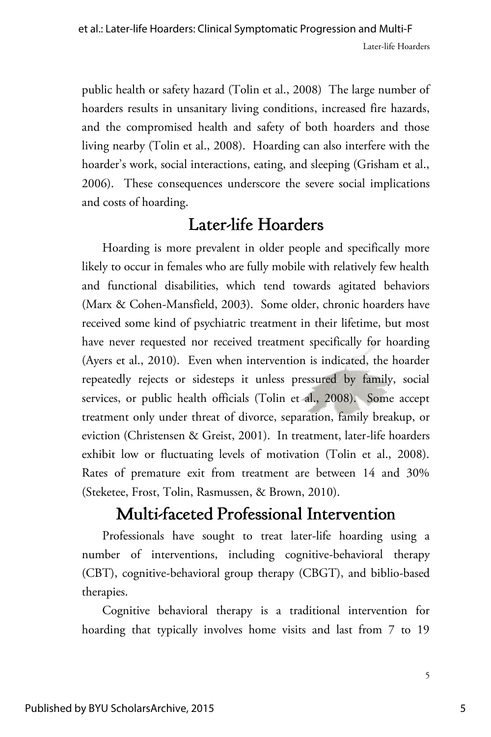public health or safety hazard (Tolin et al., 2008) The large number of hoarders results in unsanitary living conditions, increased fire hazards, and the compromised health and safety of both hoarders and those living nearby (Tolin et al., 2008). Hoarding can also interfere with the hoarder's work, social interactions, eating, and sleeping (Grisham et al., 2006). These consequences underscore the severe social implications and costs of hoarding.

## Later-life Hoarders

Hoarding is more prevalent in older people and specifically more likely to occur in females who are fully mobile with relatively few health and functional disabilities, which tend towards agitated behaviors (Marx & Cohen-Mansfield, 2003). Some older, chronic hoarders have received some kind of psychiatric treatment in their lifetime, but most have never requested nor received treatment specifically for hoarding (Ayers et al., 2010). Even when intervention is indicated, the hoarder repeatedly rejects or sidesteps it unless pressured by family, social services, or public health officials (Tolin et al., 2008). Some accept treatment only under threat of divorce, separation, family breakup, or eviction (Christensen & Greist, 2001). In treatment, later-life hoarders exhibit low or fluctuating levels of motivation (Tolin et al., 2008). Rates of premature exit from treatment are between 14 and 30% (Steketee, Frost, Tolin, Rasmussen, & Brown, 2010).

## Multi-faceted Professional Intervention

Professionals have sought to treat later-life hoarding using a number of interventions, including cognitive-behavioral therapy (CBT), cognitive-behavioral group therapy (CBGT), and biblio-based therapies.

Cognitive behavioral therapy is a traditional intervention for hoarding that typically involves home visits and last from 7 to 19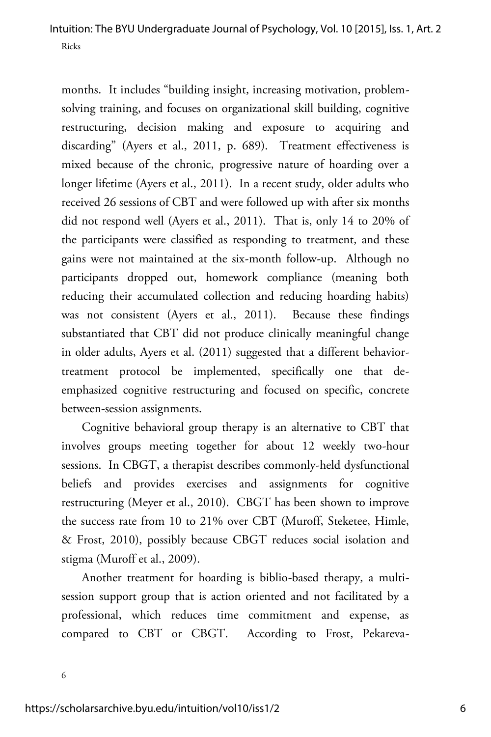months. It includes "building insight, increasing motivation, problemsolving training, and focuses on organizational skill building, cognitive restructuring, decision making and exposure to acquiring and discarding" (Ayers et al., 2011, p. 689). Treatment effectiveness is mixed because of the chronic, progressive nature of hoarding over a longer lifetime (Ayers et al., 2011). In a recent study, older adults who received 26 sessions of CBT and were followed up with after six months did not respond well (Ayers et al., 2011). That is, only 14 to 20% of the participants were classified as responding to treatment, and these gains were not maintained at the six-month follow-up. Although no participants dropped out, homework compliance (meaning both reducing their accumulated collection and reducing hoarding habits) was not consistent (Ayers et al., 2011). Because these findings substantiated that CBT did not produce clinically meaningful change in older adults, Ayers et al. (2011) suggested that a different behaviortreatment protocol be implemented, specifically one that deemphasized cognitive restructuring and focused on specific, concrete between-session assignments.

Cognitive behavioral group therapy is an alternative to CBT that involves groups meeting together for about 12 weekly two-hour sessions. In CBGT, a therapist describes commonly-held dysfunctional beliefs and provides exercises and assignments for cognitive restructuring (Meyer et al., 2010). CBGT has been shown to improve the success rate from 10 to 21% over CBT (Muroff, Steketee, Himle, & Frost, 2010), possibly because CBGT reduces social isolation and stigma (Muroff et al., 2009).

Another treatment for hoarding is biblio-based therapy, a multisession support group that is action oriented and not facilitated by a professional, which reduces time commitment and expense, as compared to CBT or CBGT. According to Frost, Pekareva-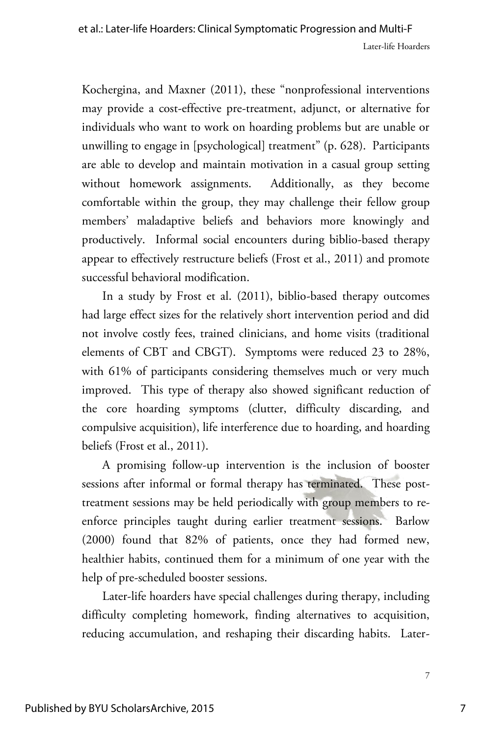Kochergina, and Maxner (2011), these "nonprofessional interventions may provide a cost-effective pre-treatment, adjunct, or alternative for individuals who want to work on hoarding problems but are unable or unwilling to engage in [psychological] treatment" (p. 628). Participants are able to develop and maintain motivation in a casual group setting without homework assignments. Additionally, as they become comfortable within the group, they may challenge their fellow group members' maladaptive beliefs and behaviors more knowingly and productively. Informal social encounters during biblio-based therapy appear to effectively restructure beliefs (Frost et al., 2011) and promote successful behavioral modification.

In a study by Frost et al. (2011), biblio-based therapy outcomes had large effect sizes for the relatively short intervention period and did not involve costly fees, trained clinicians, and home visits (traditional elements of CBT and CBGT). Symptoms were reduced 23 to 28%, with 61% of participants considering themselves much or very much improved. This type of therapy also showed significant reduction of the core hoarding symptoms (clutter, difficulty discarding, and compulsive acquisition), life interference due to hoarding, and hoarding beliefs (Frost et al., 2011).

A promising follow-up intervention is the inclusion of booster sessions after informal or formal therapy has terminated. These posttreatment sessions may be held periodically with group members to reenforce principles taught during earlier treatment sessions. Barlow (2000) found that 82% of patients, once they had formed new, healthier habits, continued them for a minimum of one year with the help of pre-scheduled booster sessions.

Later-life hoarders have special challenges during therapy, including difficulty completing homework, finding alternatives to acquisition, reducing accumulation, and reshaping their discarding habits. Later-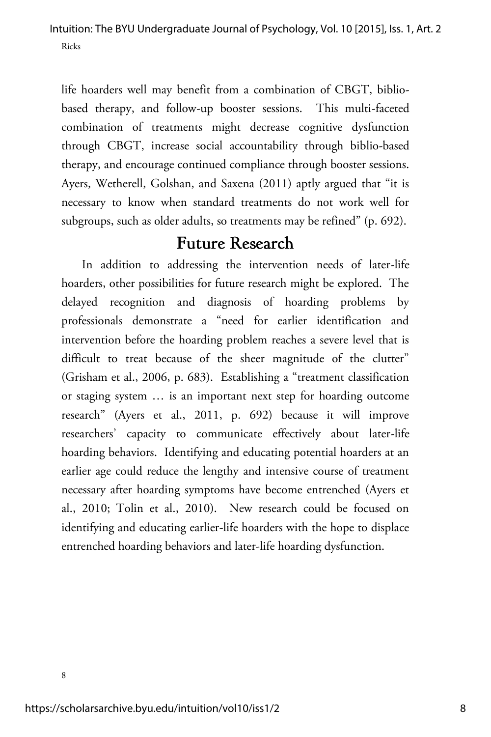life hoarders well may benefit from a combination of CBGT, bibliobased therapy, and follow-up booster sessions. This multi-faceted combination of treatments might decrease cognitive dysfunction through CBGT, increase social accountability through biblio-based therapy, and encourage continued compliance through booster sessions. Ayers, Wetherell, Golshan, and Saxena (2011) aptly argued that "it is necessary to know when standard treatments do not work well for subgroups, such as older adults, so treatments may be refined" (p. 692).

#### **Future Research**

In addition to addressing the intervention needs of later-life hoarders, other possibilities for future research might be explored. The delayed recognition and diagnosis of hoarding problems by professionals demonstrate a "need for earlier identification and intervention before the hoarding problem reaches a severe level that is difficult to treat because of the sheer magnitude of the clutter" (Grisham et al., 2006, p. 683). Establishing a "treatment classification or staging system … is an important next step for hoarding outcome research" (Ayers et al., 2011, p. 692) because it will improve researchers' capacity to communicate effectively about later-life hoarding behaviors. Identifying and educating potential hoarders at an earlier age could reduce the lengthy and intensive course of treatment necessary after hoarding symptoms have become entrenched (Ayers et al., 2010; Tolin et al., 2010). New research could be focused on identifying and educating earlier-life hoarders with the hope to displace entrenched hoarding behaviors and later-life hoarding dysfunction.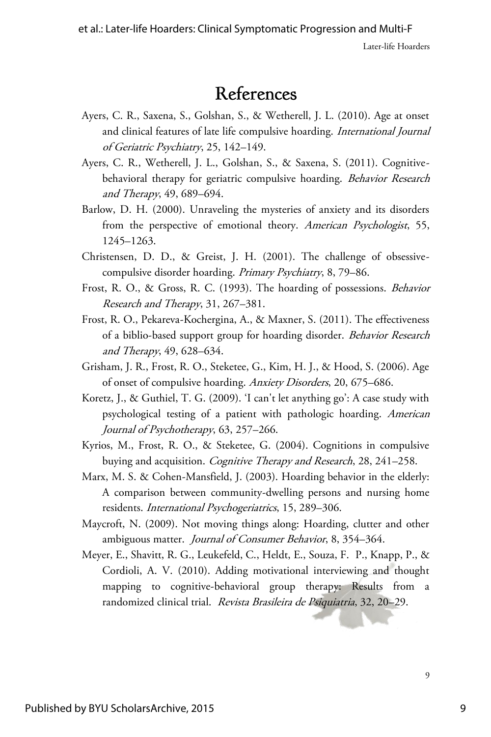#### References

- Ayers, C. R., Saxena, S., Golshan, S., & Wetherell, J. L. (2010). Age at onset and clinical features of late life compulsive hoarding. International Journal of Geriatric Psychiatry, 25, 142–149.
- Ayers, C. R., Wetherell, J. L., Golshan, S., & Saxena, S. (2011). Cognitivebehavioral therapy for geriatric compulsive hoarding. Behavior Research and Therapy, 49, 689–694.
- Barlow, D. H. (2000). Unraveling the mysteries of anxiety and its disorders from the perspective of emotional theory. American Psychologist, 55, 1245–1263.
- Christensen, D. D., & Greist, J. H. (2001). The challenge of obsessivecompulsive disorder hoarding. Primary Psychiatry, 8, 79–86.
- Frost, R. O., & Gross, R. C. (1993). The hoarding of possessions. Behavior Research and Therapy, 31, 267–381.
- Frost, R. O., Pekareva-Kochergina, A., & Maxner, S. (2011). The effectiveness of a biblio-based support group for hoarding disorder. Behavior Research and Therapy, 49, 628–634.
- Grisham, J. R., Frost, R. O., Steketee, G., Kim, H. J., & Hood, S. (2006). Age of onset of compulsive hoarding. Anxiety Disorders, 20, 675–686.
- Koretz, J., & Guthiel, T. G. (2009). 'I can't let anything go': A case study with psychological testing of a patient with pathologic hoarding. American Journal of Psychotherapy, 63, 257–266.
- Kyrios, M., Frost, R. O., & Steketee, G. (2004). Cognitions in compulsive buying and acquisition. Cognitive Therapy and Research, 28, 241-258.
- Marx, M. S. & Cohen-Mansfield, J. (2003). Hoarding behavior in the elderly: A comparison between community-dwelling persons and nursing home residents. International Psychogeriatrics, 15, 289–306.
- Maycroft, N. (2009). Not moving things along: Hoarding, clutter and other ambiguous matter. *Journal of Consumer Behavior*, 8, 354–364.
- Meyer, E., Shavitt, R. G., Leukefeld, C., Heldt, E., Souza, F. P., Knapp, P., & Cordioli, A. V. (2010). Adding motivational interviewing and thought mapping to cognitive-behavioral group therapy: Results from a randomized clinical trial. Revista Brasileira de Psiquiatria, 32, 20–29.